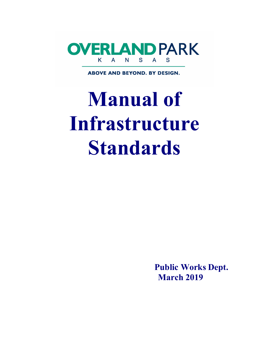

**ABOVE AND BEYOND. BY DESIGN.** 

# **Manual of Infrastructure Standards**

**Public Works Dept. March 2019**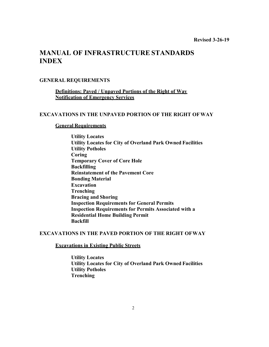# **MANUAL OF INFRASTRUCTURE STANDARDS INDEX**

# **GENERAL REQUIREMENTS**

# **Definitions: Paved / Unpaved Portions of the Right of Way Notification of Emergency Services**

# **EXCAVATIONS IN THE UNPAVED PORTION OF THE RIGHT OF WAY**

# **General Requirements**

**Utility Locates Utility Locates for City of Overland Park Owned Facilities Utility Potholes Coring Temporary Cover of Core Hole Backfilling Reinstatement of the Pavement Core Bonding Material Excavation Trenching Bracing and Shoring Inspection Requirements for General Permits Inspection Requirements for Permits Associated with a Residential Home Building Permit Backfill**

# **EXCAVATIONS IN THE PAVED PORTION OF THE RIGHT OF WAY**

# **Excavations in Existing Public Streets**

**Utility Locates Utility Locates for City of Overland Park Owned Facilities Utility Potholes Trenching**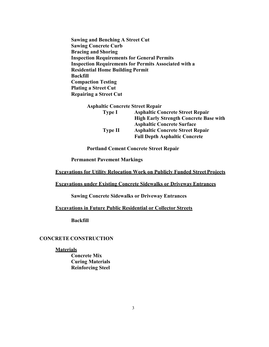**Sawing and Benching A Street Cut Sawing Concrete Curb Bracing and Shoring Inspection Requirements for General Permits Inspection Requirements for Permits Associated with a Residential Home Building Permit Backfill Compaction Testing Plating a Street Cut Repairing a Street Cut**

| <b>Asphaltic Concrete Street Repair</b> |                                               |
|-----------------------------------------|-----------------------------------------------|
| <b>Type I</b>                           | <b>Asphaltic Concrete Street Repair</b>       |
|                                         | <b>High Early Strength Concrete Base with</b> |
|                                         | <b>Asphaltic Concrete Surface</b>             |
| <b>Type II</b>                          | <b>Asphaltic Concrete Street Repair</b>       |
|                                         | <b>Full Depth Asphaltic Concrete</b>          |

**Portland Cement Concrete Street Repair** 

**Permanent Pavement Markings**

# **Excavations for Utility Relocation Work on Publicly Funded Street Projects**

# **Excavations under Existing Concrete Sidewalks or Driveway Entrances**

**Sawing Concrete Sidewalks or Driveway Entrances** 

# **Excavations in Future Public Residential or Collector Streets**

**Backfill**

# **CONCRETE CONSTRUCTION**

#### **Materials**

**Concrete Mix Curing Materials Reinforcing Steel**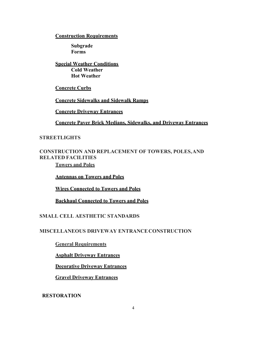# **Construction Requirements**

**Subgrade Forms**

**Special Weather Conditions Cold Weather Hot Weather** 

**Concrete Curbs**

**Concrete Sidewalks and Sidewalk Ramps**

**Concrete Driveway Entrances**

**Concrete Paver Brick Medians, Sidewalks, and Driveway Entrances**

# **STREETLIGHTS**

# **CONSTRUCTION AND REPLACEMENT OF TOWERS, POLES, AND RELATED FACILITIES Towers and Poles**

**Antennas on Towers and Poles**

**Wires Connected to Towers and Poles**

**Backhaul Connected to Towers and Poles**

# **SMALL CELL AESTHETIC STANDARDS**

# **MISCELLANEOUS DRIVEWAY ENTRANCE CONSTRUCTION**

**General Requirements**

**Asphalt Driveway Entrances**

**Decorative Driveway Entrances**

**Gravel Driveway Entrances**

**RESTORATION**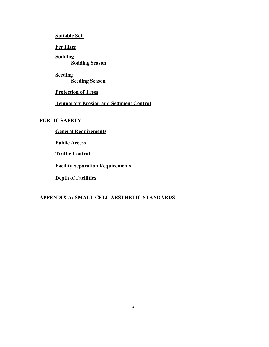**Suitable Soil**

**Fertilizer**

**Sodding Sodding Season**

**Seeding Seeding Season** 

**Protection of Trees**

**Temporary Erosion and Sediment Control**

# **PUBLIC SAFETY**

**General Requirements**

**Public Access**

**Traffic Control**

**Facility Separation Requirements**

**Depth of Facilities**

# **APPENDIX A: SMALL CELL AESTHETIC STANDARDS**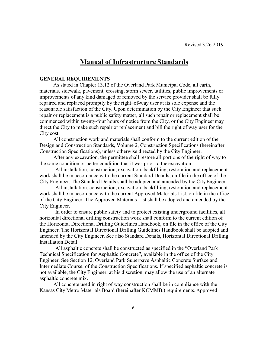# **Manual of Infrastructure Standards**

#### **GENERAL REQUIREMENTS**

As stated in Chapter 13.12 of the Overland Park Municipal Code, all earth, materials, sidewalk, pavement, crossing, storm sewer, utilities, public improvements or improvements of any kind damaged or removed by the service provider shall be fully repaired and replaced promptly by the right–of-way user at its sole expense and the reasonable satisfaction of the City. Upon determination by the City Engineer that such repair or replacement is a public safety matter, all such repair or replacement shall be commenced within twenty-four hours of notice from the City, or the City Engineer may direct the City to make such repair or replacement and bill the right of way user for the City cost.

All construction work and materials shall conform to the current edition of the Design and Construction Standards, Volume 2, Construction Specifications (hereinafter Construction Specifications), unless otherwise directed by the City Engineer.

After any excavation, the permittee shall restore all portions of the right of way to the same condition or better condition that it was prior to the excavation.

All installation, construction, excavation, backfilling, restoration and replacement work shall be in accordance with the current Standard Details, on file in the office of the City Engineer. The Standard Details shall be adopted and amended by the City Engineer.

All installation, construction, excavation, backfilling, restoration and replacement work shall be in accordance with the current Approved Materials List, on file in the office of the City Engineer. The Approved Materials List shall be adopted and amended by the City Engineer.

In order to ensure public safety and to protect existing underground facilities, all horizontal directional drilling construction work shall conform to the current edition of the Horizontal Directional Drilling Guidelines Handbook, on file in the office of the City Engineer. The Horizontal Directional Drilling Guidelines Handbook shall be adopted and amended by the City Engineer. See also Standard Details, Horizontal Directional Drilling Installation Detail.

All asphaltic concrete shall be constructed as specified in the "Overland Park Technical Specification for Asphaltic Concrete", available in the office of the City Engineer. See Section 12, Overland Park Superpave Asphaltic Concrete Surface and Intermediate Course, of the Construction Specifications. If specified asphaltic concrete is not available, the City Engineer, at his discretion, may allow the use of an alternate asphaltic concrete mix.

All concrete used in right of way construction shall be in compliance with the Kansas City Metro Materials Board (hereinafter KCMMB.) requirements. Approved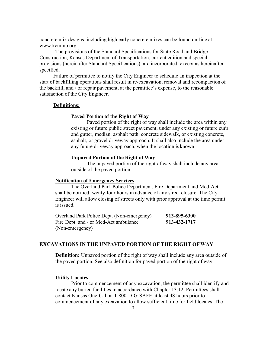concrete mix designs, including high early concrete mixes can be found on-line at www.kcmmb.org.

The provisions of the Standard Specifications for State Road and Bridge Construction, Kansas Department of Transportation, current edition and special provisions (hereinafter Standard Specifications), are incorporated, except as hereinafter specified.

Failure of permittee to notify the City Engineer to schedule an inspection at the start of backfilling operations shall result in re-excavation, removal and recompaction of the backfill, and / or repair pavement, at the permittee's expense, to the reasonable satisfaction of the City Engineer.

# **Definitions:**

# **Paved Portion of the Right of Way**

Paved portion of the right of way shall include the area within any existing or future public street pavement, under any existing or future curb and gutter, median, asphalt path, concrete sidewalk, or existing concrete, asphalt, or gravel driveway approach. It shall also include the area under any future driveway approach, when the location is known.

#### **Unpaved Portion of the Right of Way**

The unpaved portion of the right of way shall include any area outside of the paved portion.

#### **Notification of Emergency Services**

The Overland Park Police Department, Fire Department and Med-Act shall be notified twenty-four hours in advance of any street closure. The City Engineer will allow closing of streets only with prior approval at the time permit is issued.

Overland Park Police Dept. (Non-emergency) **913-895-6300**  Fire Dept. and / or Med-Act ambulance **913-432-1717** (Non-emergency)

# **EXCAVATIONS IN THE UNPAVED PORTION OF THE RIGHT OF WAY**

**Definition:** Unpaved portion of the right of way shall include any area outside of the paved portion. See also definition for paved portion of the right of way.

#### **Utility Locates**

Prior to commencement of any excavation, the permittee shall identify and locate any buried facilities in accordance with Chapter 13.12. Permittees shall contact Kansas One-Call at 1-800-DIG-SAFE at least 48 hours prior to commencement of any excavation to allow sufficient time for field locates. The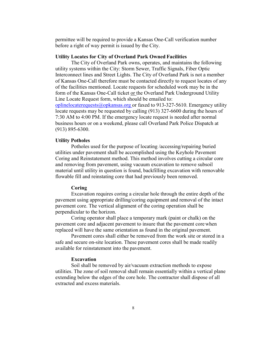permittee will be required to provide a Kansas One-Call verification number before a right of way permit is issued by the City.

#### **Utility Locates for City of Overland Park Owned Facilities**

The City of Overland Park owns, operates, and maintains the following utility systems within the City: Storm Sewer, Traffic Signals, Fiber Optic Interconnect lines and Street Lights. The City of Overland Park is not a member of Kansas One-Call therefore must be contacted directly to request locates of any of the facilities mentioned. Locate requests for scheduled work may be in the form of the Kansas One-Call ticket or the Overland Park Underground Utility Line Locate Request form, which should be emailed to:

oplinelocaterequests@opkansas.org or faxed to 913-327-5610. Emergency utility locate requests may be requested by calling (913) 327-6600 during the hours of 7:30 AM to 4:00 PM. If the emergency locate request is needed after normal business hours or on a weekend, please call Overland Park Police Dispatch at (913) 895-6300.

#### **Utility Potholes**

Potholes used for the purpose of locating /accessing/repairing buried utilities under pavement shall be accomplished using the Keyhole Pavement Coring and Reinstatement method. This method involves cutting a circular core and removing from pavement, using vacuum excavation to remove subsoil material until utility in question is found, backfilling excavation with removable flowable fill and reinstating core that had previously been removed.

# **Coring**

Excavation requires coring a circular hole through the entire depth of the pavement using appropriate drilling/coring equipment and removal of the intact pavement core. The vertical alignment of the coring operation shall be perpendicular to the horizon.

Coring operator shall place a temporary mark (paint or chalk) on the pavement core and adjacent pavement to insure that the pavement core when replaced will have the same orientation as found in the original pavement.

Pavement cores shall either be removed from the work site or stored in a safe and secure on-site location. These pavement cores shall be made readily available for reinstatement into the pavement.

# **Excavation**

Soil shall be removed by air/vacuum extraction methods to expose utilities. The zone of soil removal shall remain essentially within a vertical plane extending below the edges of the core hole. The contractor shall dispose of all extracted and excess materials.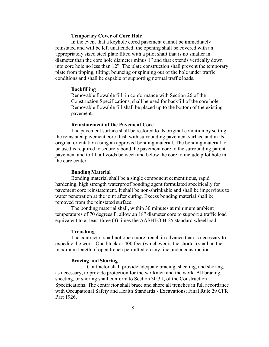# **Temporary Cover of Core Hole**

In the event that a keyhole cored pavement cannot be immediately reinstated and will be left unattended, the opening shall be covered with an appropriately sized steel plate fitted with a pilot shaft that is no smaller in diameter than the core hole diameter minus 1" and that extends vertically down into core hole no less than 12". The plate construction shall prevent the temporary plate from tipping, tilting, bouncing or spinning out of the hole under traffic conditions and shall be capable of supporting normal traffic loads.

# **Backfilling**

Removable flowable fill, in conformance with Section 26 of the Construction Specifications, shall be used for backfill of the core hole. Removable flowable fill shall be placed up to the bottom of the existing pavement.

#### **Reinstatement of the Pavement Core**

The pavement surface shall be restored to its original condition by setting the reinstated pavement core flush with surrounding pavement surface and in its original orientation using an approved bonding material. The bonding material to be used is required to securely bond the pavement core to the surrounding parent pavement and to fill all voids between and below the core to include pilot hole in the core center.

#### **Bonding Material**

Bonding material shall be a single component cementitious, rapid hardening, high strength waterproof bonding agent formulated specifically for pavement core reinstatement. It shall be non-shrinkable and shall be impervious to water penetration at the joint after curing. Excess bonding material shall be removed from the reinstated surface.

The bonding material shall, within 30 minutes at minimum ambient temperatures of 70 degrees F, allow an 18" diameter core to support a traffic load equivalent to at least three (3) times the AASHTO H-25 standard wheel load.

#### **Trenching**

The contractor shall not open more trench in advance than is necessary to expedite the work. One block or 400 feet (whichever is the shorter) shall be the maximum length of open trench permitted on any line under construction.

# **Bracing and Shoring**

Contractor shall provide adequate bracing, sheeting, and shoring, as necessary, to provide protection for the workmen and the work. All bracing, sheeting, or shoring shall conform to Section 30.3.f, of the Construction Specifications. The contractor shall brace and shore all trenches in full accordance with Occupational Safety and Health Standards - Excavations; Final Rule 29 CFR Part 1926.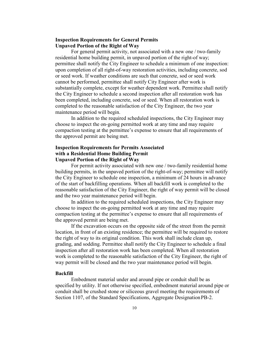# **Inspection Requirements for General Permits Unpaved Portion of the Right of Way**

For general permit activity, not associated with a new one / two-family residential home building permit, in unpaved portion of the right-of way; permittee shall notify the City Engineer to schedule a minimum of one inspection: upon completion of all right-of-way restoration activities, including concrete, sod or seed work. If weather conditions are such that concrete, sod or seed work cannot be performed, permittee shall notify City Engineer after work is substantially complete, except for weather dependent work. Permittee shall notify the City Engineer to schedule a second inspection after all restoration work has been completed, including concrete, sod or seed. When all restoration work is completed to the reasonable satisfaction of the City Engineer, the two year maintenance period will begin.

In addition to the required scheduled inspections, the City Engineer may choose to inspect the on-going permitted work at any time and may require compaction testing at the permittee's expense to ensure that all requirements of the approved permit are being met.

# **Inspection Requirements for Permits Associated with a Residential Home Building Permit Unpaved Portion of the Right of Way**

For permit activity associated with new one / two-family residential home building permits, in the unpaved portion of the right-of-way; permittee will notify the City Engineer to schedule one inspection, a minimum of 24 hours in advance of the start of backfilling operations. When all backfill work is completed to the reasonable satisfaction of the City Engineer, the right of way permit will be closed and the two year maintenance period will begin.

In addition to the required scheduled inspections, the City Engineer may choose to inspect the on-going permitted work at any time and may require compaction testing at the permittee's expense to ensure that all requirements of the approved permit are being met.

If the excavation occurs on the opposite side of the street from the permit location, in front of an existing residence; the permittee will be required to restore the right of way to its original condition. This work shall include clean up, grading, and sodding. Permittee shall notify the City Engineer to schedule a final inspection after all restoration work has been completed. When all restoration work is completed to the reasonable satisfaction of the City Engineer, the right of way permit will be closed and the two year maintenance period will begin.

#### **Backfill**

Embedment material under and around pipe or conduit shall be as specified by utility. If not otherwise specified, embedment material around pipe or conduit shall be crushed stone or siliceous gravel meeting the requirements of Section 1107, of the Standard Specifications, Aggregate Designation PB-2.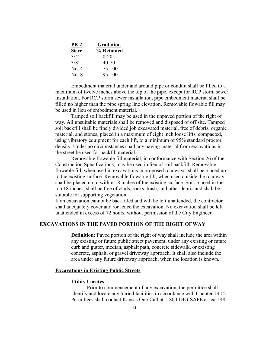| <u>PB-2</u>  | <b>Gradation</b> |
|--------------|------------------|
| <b>Sieve</b> | % Retained       |
| 3/4"         | $0 - 20$         |
| 3/8"         | 40-70            |
| No. 4        | 75-100           |
| No. 8        | 95-100           |

Embedment material under and around pipe or conduit shall be filled to a maximum of twelve inches above the top of the pipe, except for RCP storm sewer installation. For RCP storm sewer installation, pipe embedment material shall be filled no higher than the pipe spring line elevation. Removable flowable fill may be used in lieu of embedment material.

Tamped soil backfill may be used in the unpaved portion of the right of way. All unsuitable materials shall be removed and disposed of off site. Tamped soil backfill shall be finely divided job excavated material, free of debris, organic material, and stones, placed in a maximum of eight inch loose lifts, compacted, using vibratory equipment for each lift, to a minimum of 95% standard proctor density. Under no circumstances shall any paving material from excavations in the street be used for backfill material.

Removable flowable fill material, in conformance with Section 26 of the Construction Specifications, may be used in lieu of soil backfill**.** Removable flowable fill, when used in excavations in proposed roadways, shall be placed up to the existing surface. Removable flowable fill, when used outside the roadway, shall be placed up to within 18 inches of the existing surface. Soil, placed in the top 18 inches, shall be free of clods, rocks, trash, and other debris and shall be suitable for supporting vegetation.

If an excavation cannot be backfilled and will be left unattended, the contractor shall adequately cover and /or fence the excavation. No excavation shall be left unattended in excess of 72 hours, without permission of the City Engineer.

# **EXCAVATIONS IN THE PAVED PORTION OF THE RIGHT OF WAY**

**Definition:** Paved portion of the right of way shall include the area within any existing or future public street pavement, under any existing or future curb and gutter, median, asphalt path, concrete sidewalk, or existing concrete, asphalt, or gravel driveway approach. It shall also include the area under any future driveway approach, when the location is known.

#### **Excavations in Existing Public Streets**

# **Utility Locates**

Prior to commencement of any excavation, the permittee shall identify and locate any buried facilities in accordance with Chapter 13.12. Permittees shall contact Kansas One-Call at 1-800-DIG-SAFE at least 48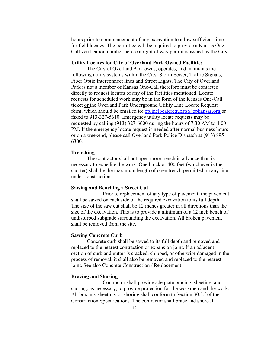hours prior to commencement of any excavation to allow sufficient time for field locates. The permittee will be required to provide a Kansas One-Call verification number before a right of way permit is issued by the City.

#### **Utility Locates for City of Overland Park Owned Facilities**

The City of Overland Park owns, operates, and maintains the following utility systems within the City: Storm Sewer, Traffic Signals, Fiber Optic Interconnect lines and Street Lights. The City of Overland Park is not a member of Kansas One-Call therefore must be contacted directly to request locates of any of the facilities mentioned. Locate requests for scheduled work may be in the form of the Kansas One-Call ticket or the Overland Park Underground Utility Line Locate Request form, which should be emailed to: oplinelocaterequests@opkansas.org or faxed to 913-327-5610. Emergency utility locate requests may be requested by calling (913) 327-6600 during the hours of 7:30 AM to 4:00 PM. If the emergency locate request is needed after normal business hours or on a weekend, please call Overland Park Police Dispatch at (913) 895- 6300.

# **Trenching**

The contractor shall not open more trench in advance than is necessary to expedite the work. One block or 400 feet (whichever is the shorter) shall be the maximum length of open trench permitted on any line under construction.

# **Sawing and Benching a Street Cut**

Prior to replacement of any type of pavement, the pavement shall be sawed on each side of the required excavation to its full depth . The size of the saw cut shall be 12 inches greater in all directions than the size of the excavation. This is to provide a minimum of a 12 inch bench of undisturbed subgrade surrounding the excavation. All broken pavement shall be removed from the site.

#### **Sawing Concrete Curb**

Concrete curb shall be sawed to its full depth and removed and replaced to the nearest contraction or expansion joint. If an adjacent section of curb and gutter is cracked, chipped, or otherwise damaged in the process of removal, it shall also be removed and replaced to the nearest joint. See also Concrete Construction / Replacement.

#### **Bracing and Shoring**

Contractor shall provide adequate bracing, sheeting, and shoring, as necessary, to provide protection for the workmen and the work. All bracing, sheeting, or shoring shall conform to Section 30.3.f of the Construction Specifications. The contractor shall brace and shore all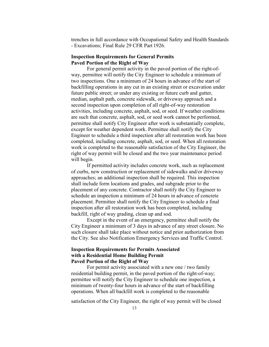trenches in full accordance with Occupational Safety and Health Standards - Excavations; Final Rule 29 CFR Part 1926.

# **Inspection Requirements for General Permits Paved Portion of the Right of Way**

For general permit activity in the paved portion of the right-ofway, permittee will notify the City Engineer to schedule a minimum of two inspections. One a minimum of 24 hours in advance of the start of backfilling operations in any cut in an existing street or excavation under future public street; or under any existing or future curb and gutter, median, asphalt path, concrete sidewalk, or driveway approach and a second inspection upon completion of all right-of-way restoration activities, including concrete, asphalt, sod, or seed. If weather conditions are such that concrete, asphalt, sod, or seed work cannot be performed, permittee shall notify City Engineer after work is substantially complete, except for weather dependent work. Permittee shall notify the City Engineer to schedule a third inspection after all restoration work has been completed, including concrete, asphalt, sod, or seed. When all restoration work is completed to the reasonable satisfaction of the City Engineer, the right of way permit will be closed and the two year maintenance period will begin.

If permitted activity includes concrete work, such as replacement of curbs, new construction or replacement of sidewalks and/or driveway approaches; an additional inspection shall be required. This inspection shall include form locations and grades, and subgrade prior to the placement of any concrete. Contractor shall notify the City Engineer to schedule an inspection a minimum of 24 hours in advance of concrete placement. Permittee shall notify the City Engineer to schedule a final inspection after all restoration work has been completed, including backfill, right of way grading, clean up and sod.

Except in the event of an emergency, permittee shall notify the City Engineer a minimum of 3 days in advance of any street closure. No such closure shall take place without notice and prior authorization from the City. See also Notification Emergency Services and Traffic Control.

# **Inspection Requirements for Permits Associated with a Residential Home Building Permit Paved Portion of the Right of Way**

For permit activity associated with a new one / two family residential building permit, in the paved portion of the right-of-way; permittee will notify the City Engineer to schedule one inspection, a minimum of twenty-four hours in advance of the start of backfilling operations. When all backfill work is completed to the reasonable

satisfaction of the City Engineer, the right of way permit will be closed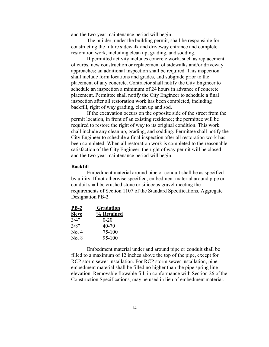and the two year maintenance period will begin.

The builder, under the building permit, shall be responsible for constructing the future sidewalk and driveway entrance and complete restoration work, including clean up, grading, and sodding.

If permitted activity includes concrete work, such as replacement of curbs, new construction or replacement of sidewalks and/or driveway approaches; an additional inspection shall be required. This inspection shall include form locations and grades, and subgrade prior to the placement of any concrete. Contractor shall notify the City Engineer to schedule an inspection a minimum of 24 hours in advance of concrete placement. Permittee shall notify the City Engineer to schedule a final inspection after all restoration work has been completed, including backfill, right of way grading, clean up and sod.

If the excavation occurs on the opposite side of the street from the permit location, in front of an existing residence; the permittee will be required to restore the right of way to its original condition. This work shall include any clean up, grading, and sodding. Permittee shall notify the City Engineer to schedule a final inspection after all restoration work has been completed. When all restoration work is completed to the reasonable satisfaction of the City Engineer, the right of way permit will be closed and the two year maintenance period will begin.

#### **Backfill**

Embedment material around pipe or conduit shall be as specified by utility. If not otherwise specified, embedment material around pipe or conduit shall be crushed stone or siliceous gravel meeting the requirements of Section 1107 of the Standard Specifications, Aggregate Designation PB-2.

| <u>PB-2</u>  | <b>Gradation</b> |
|--------------|------------------|
| <b>Sieve</b> | % Retained       |
| 3/4"         | $0 - 20$         |
| 3/8"         | 40-70            |
| No. 4        | 75-100           |
| No. 8        | $95 - 100$       |

Embedment material under and around pipe or conduit shall be filled to a maximum of 12 inches above the top of the pipe, except for RCP storm sewer installation. For RCP storm sewer installation, pipe embedment material shall be filled no higher than the pipe spring line elevation. Removable flowable fill, in conformance with Section 26 of the Construction Specifications, may be used in lieu of embedment material.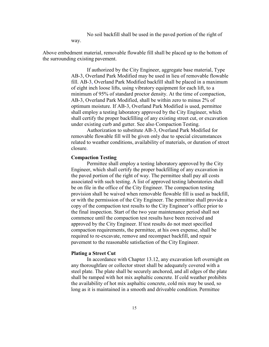No soil backfill shall be used in the paved portion of the right of way.

Above embedment material, removable flowable fill shall be placed up to the bottom of the surrounding existing pavement.

> If authorized by the City Engineer, aggregate base material, Type AB-3, Overland Park Modified may be used in lieu of removable flowable fill. AB-3, Overland Park Modified backfill shall be placed in a maximum of eight inch loose lifts, using vibratory equipment for each lift, to a minimum of 95% of standard proctor density. At the time of compaction, AB-3, Overland Park Modified, shall be within zero to minus 2% of optimum moisture. If AB-3, Overland Park Modified is used, permittee shall employ a testing laboratory approved by the City Engineer, which shall certify the proper backfilling of any existing street cut, or excavation under existing curb and gutter. See also Compaction Testing.

> Authorization to substitute AB-3, Overland Park Modified for removable flowable fill will be given only due to special circumstances related to weather conditions, availability of materials, or duration of street closure.

# **Compaction Testing**

Permittee shall employ a testing laboratory approved by the City Engineer, which shall certify the proper backfilling of any excavation in the paved portion of the right of way. The permittee shall pay all costs associated with such testing. A list of approved testing laboratories shall be on file in the office of the City Engineer. The compaction testing provision shall be waived when removable flowable fill is used as backfill, or with the permission of the City Engineer. The permittee shall provide a copy of the compaction test results to the City Engineer's office prior to the final inspection. Start of the two year maintenance period shall not commence until the compaction test results have been received and approved by the City Engineer. If test results do not meet specified compaction requirements, the permittee, at his own expense, shall be required to re-excavate, remove and recompact backfill, and repair pavement to the reasonable satisfaction of the City Engineer.

#### **Plating a Street Cut**

In accordance with Chapter 13.12, any excavation left overnight on any thoroughfare or collector street shall be adequately covered with a steel plate. The plate shall be securely anchored, and all edges of the plate shall be ramped with hot mix asphaltic concrete. If cold weather prohibits the availability of hot mix asphaltic concrete, cold mix may be used, so long as it is maintained in a smooth and driveable condition. Permittee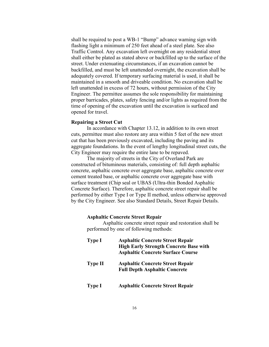shall be required to post a WB-1 "Bump" advance warning sign with flashing light a minimum of 250 feet ahead of a steel plate. See also Traffic Control. Any excavation left overnight on any residential street shall either be plated as stated above or backfilled up to the surface of the street. Under extenuating circumstances, if an excavation cannot be backfilled, and must be left unattended overnight, the excavation shall be adequately covered. If temporary surfacing material is used, it shall be maintained in a smooth and driveable condition. No excavation shall be left unattended in excess of 72 hours, without permission of the City Engineer. The permittee assumes the sole responsibility for maintaining proper barricades, plates, safety fencing and/or lights as required from the time of opening of the excavation until the excavation is surfaced and opened for travel.

#### **Repairing a Street Cut**

In accordance with Chapter 13.12, in addition to its own street cuts, permittee must also restore any area within 5 feet of the new street cut that has been previously excavated, including the paving and its aggregate foundations. In the event of lengthy longitudinal street cuts, the City Engineer may require the entire lane to be repaved.

The majority of streets in the City of Overland Park are constructed of bituminous materials, consisting of: full depth asphaltic concrete, asphaltic concrete over aggregate base, asphaltic concrete over cement treated base, or asphaltic concrete over aggregate base with surface treatment (Chip seal or UBAS (Ultra-thin Bonded Asphaltic Concrete Surface). Therefore, asphaltic concrete street repair shall be performed by either Type I or Type II method, unless otherwise approved by the City Engineer. See also Standard Details, Street Repair Details.

# **Asphaltic Concrete Street Repair**

Asphaltic concrete street repair and restoration shall be performed by one of following methods:

| <b>Type I</b>  | <b>Asphaltic Concrete Street Repair</b><br><b>High Early Strength Concrete Base with</b><br><b>Asphaltic Concrete Surface Course</b> |
|----------------|--------------------------------------------------------------------------------------------------------------------------------------|
| <b>Type II</b> | <b>Asphaltic Concrete Street Repair</b><br><b>Full Depth Asphaltic Concrete</b>                                                      |
| <b>Type I</b>  | <b>Asphaltic Concrete Street Repair</b>                                                                                              |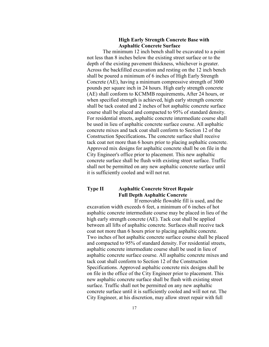# **High Early Strength Concrete Base with Asphaltic Concrete Surface**

The minimum 12 inch bench shall be excavated to a point not less than 8 inches below the existing street surface or to the depth of the existing pavement thickness, whichever is greater. Across the backfilled excavation and resting on the 12 inch bench shall be poured a minimum of 6 inches of High Early Strength Concrete (AE), having a minimum compressive strength of 3000 pounds per square inch in 24 hours. High early strength concrete (AE) shall conform to KCMMB requirements**.** After 24 hours, or when specified strength is achieved, high early strength concrete shall be tack coated and 2 inches of hot asphaltic concrete surface course shall be placed and compacted to 95% of standard density. For residential streets, asphaltic concrete intermediate course shall be used in lieu of asphaltic concrete surface course. All asphaltic concrete mixes and tack coat shall conform to Section 12 of the Construction Specifications**.** The concrete surface shall receive tack coat not more than 6 hours prior to placing asphaltic concrete. Approved mix designs for asphaltic concrete shall be on file in the City Engineer's office prior to placement. This new asphaltic concrete surface shall be flush with existing street surface. Traffic shall not be permitted on any new asphaltic concrete surface until it is sufficiently cooled and will not rut.

# **Type II Asphaltic Concrete Street Repair Full Depth Asphaltic Concrete**

If removable flowable fill is used, and the excavation width exceeds 6 feet, a minimum of 6 inches of hot asphaltic concrete intermediate course may be placed in lieu of the high early strength concrete (AE). Tack coat shall be applied between all lifts of asphaltic concrete. Surfaces shall receive tack coat not more than 6 hours prior to placing asphaltic concrete. Two inches of hot asphaltic concrete surface course shall be placed and compacted to 95% of standard density. For residential streets, asphaltic concrete intermediate course shall be used in lieu of asphaltic concrete surface course. All asphaltic concrete mixes and tack coat shall conform to Section 12 of the Construction Specifications. Approved asphaltic concrete mix designs shall be on file in the office of the City Engineer prior to placement. This new asphaltic concrete surface shall be flush with existing street surface. Traffic shall not be permitted on any new asphaltic concrete surface until it is sufficiently cooled and will not rut. The City Engineer, at his discretion, may allow street repair with full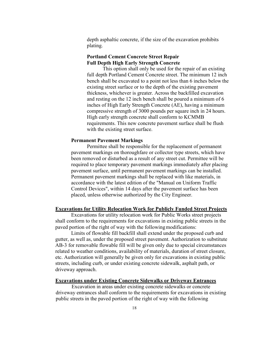depth asphaltic concrete, if the size of the excavation prohibits plating.

# **Portland Cement Concrete Street Repair Full Depth High Early Strength Concrete**

This option shall only be used for the repair of an existing full depth Portland Cement Concrete street. The minimum 12 inch bench shall be excavated to a point not less than 6 inches below the existing street surface or to the depth of the existing pavement thickness, whichever is greater. Across the backfilled excavation and resting on the 12 inch bench shall be poured a minimum of 6 inches of High Early Strength Concrete (AE), having a minimum compressive strength of 3000 pounds per square inch in 24 hours. High early strength concrete shall conform to KCMMB requirements. This new concrete pavement surface shall be flush with the existing street surface.

#### **Permanent Pavement Markings**

Permittee shall be responsible for the replacement of permanent pavement markings on thoroughfare or collector type streets, which have been removed or disturbed as a result of any street cut. Permittee will be required to place temporary pavement markings immediately after placing pavement surface, until permanent pavement markings can be installed. Permanent pavement markings shall be replaced with like materials, in accordance with the latest edition of the "Manual on Uniform Traffic Control Devices", within 14 days after the pavement surface has been placed, unless otherwise authorized by the City Engineer.

#### **Excavations for Utility Relocation Work for Publicly Funded Street Projects**

Excavations for utility relocation work for Public Works street projects shall conform to the requirements for excavations in existing public streets in the paved portion of the right of way with the following modifications:

Limits of flowable fill backfill shall extend under the proposed curb and gutter, as well as, under the proposed street pavement. Authorization to substitute AB-3 for removable flowable fill will be given only due to special circumstances related to weather conditions, availability of materials, duration of street closure, etc. Authorization will generally be given only for excavations in existing public streets, including curb, or under existing concrete sidewalk, asphalt path, or driveway approach.

# **Excavations under Existing Concrete Sidewalks or Driveway Entrances**

Excavation in areas under existing concrete sidewalks or concrete driveway entrances shall conform to the requirements for excavations in existing public streets in the paved portion of the right of way with the following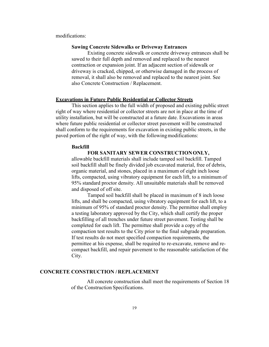modifications:

# **Sawing Concrete Sidewalks or Driveway Entrances**

Existing concrete sidewalk or concrete driveway entrances shall be sawed to their full depth and removed and replaced to the nearest contraction or expansion joint. If an adjacent section of sidewalk or driveway is cracked, chipped, or otherwise damaged in the process of removal, it shall also be removed and replaced to the nearest joint. See also Concrete Construction / Replacement.

#### **Excavations in Future Public Residential or Collector Streets**

This section applies to the full width of proposed and existing public street right of way where residential or collector streets are not in place at the time of utility installation, but will be constructed at a future date. Excavations in areas where future public residential or collector street pavement will be constructed shall conform to the requirements for excavation in existing public streets, in the paved portion of the right of way, with the following modifications:

#### **Backfill**

**FOR SANITARY SEWER CONSTRUCTION ONLY,** allowable backfill materials shall include tamped soil backfill. Tamped soil backfill shall be finely divided job excavated material, free of debris, organic material, and stones, placed in a maximum of eight inch loose lifts, compacted, using vibratory equipment for each lift, to a minimum of 95% standard proctor density. All unsuitable materials shall be removed and disposed of off site.

Tamped soil backfill shall be placed in maximum of 8 inch loose lifts, and shall be compacted, using vibratory equipment for each lift, to a minimum of 95% of standard proctor density. The permittee shall employ a testing laboratory approved by the City, which shall certify the proper backfilling of all trenches under future street pavement. Testing shall be completed for each lift. The permittee shall provide a copy of the compaction test results to the City prior to the final subgrade preparation. If test results do not meet specified compaction requirements, the permittee at his expense, shall be required to re-excavate, remove and recompact backfill, and repair pavement to the reasonable satisfaction of the City.

# **CONCRETE CONSTRUCTION / REPLACEMENT**

All concrete construction shall meet the requirements of Section 18 of the Construction Specifications.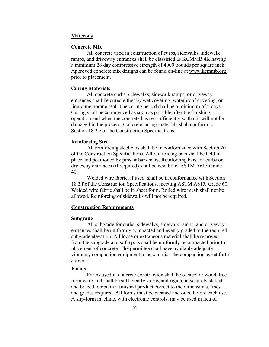# **Materials**

#### **Concrete Mix**

All concrete used in construction of curbs, sidewalks, sidewalk ramps, and driveway entrances shall be classified as KCMMB 4K having a minimum 28 day compressive strength of 4000 pounds per square inch. Approved concrete mix designs can be found on-line at www.kcmmb.org prior to placement.

# **Curing Materials**

All concrete curbs, sidewalks, sidewalk ramps, or driveway entrances shall be cured either by wet covering, waterproof covering, or liquid membrane seal. The curing period shall be a minimum of 5 days. Curing shall be commenced as soon as possible after the finishing operation and when the concrete has set sufficiently so that it will not be damaged in the process. Concrete curing materials shall conform to Section 18.2.e of the Construction Specifications.

#### **Reinforcing Steel**

All reinforcing steel bars shall be in conformance with Section 20 of the Construction Specifications. All reinforcing bars shall be held in place and positioned by pins or bar chairs. Reinforcing bars for curbs or driveway entrances (if required) shall be new billet ASTM A615 Grade 40.

Welded wire fabric, if used, shall be in conformance with Section 18.2.f of the Construction Specifications, meeting ASTM A815, Grade 60. Welded wire fabric shall be in sheet form. Rolled wire mesh shall not be allowed. Reinforcing of sidewalks will not be required.

# **Construction Requirements**

#### **Subgrade**

All subgrade for curbs, sidewalks, sidewalk ramps, and driveway entrances shall be uniformly compacted and evenly graded to the required subgrade elevation. All loose or extraneous material shall be removed from the subgrade and soft spots shall be uniformly recompacted prior to placement of concrete. The permittee shall have available adequate vibratory compaction equipment to accomplish the compaction as set forth above.

#### **Forms**

Forms used in concrete construction shall be of steel or wood, free from warp and shall be sufficiently strong and rigid and securely staked and braced to obtain a finished product correct to the dimensions, lines and grades required. All forms must be cleaned and oiled before each use. A slip-form machine, with electronic controls, may be used in lieu of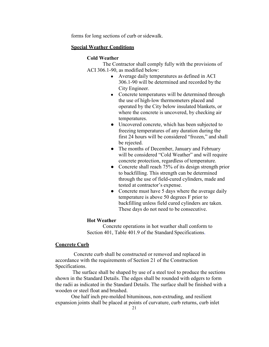forms for long sections of curb or sidewalk.

# **Special Weather Conditions**

# **Cold Weather**

The Contractor shall comply fully with the provisions of ACI 306.1-90, as modified below:

- Average daily temperatures as defined in ACI 306.1-90 will be determined and recorded by the City Engineer.
- Concrete temperatures will be determined through the use of high-low thermometers placed and operated by the City below insulated blankets, or where the concrete is uncovered, by checking air temperatures.
- Uncovered concrete, which has been subjected to freezing temperatures of any duration during the first 24 hours will be considered "frozen," and shall be rejected.
- The months of December, January and February will be considered "Cold Weather" and will require concrete protection, regardless of temperature.
- Concrete shall reach 75% of its design strength prior to backfilling. This strength can be determined through the use of field-cured cylinders, made and tested at contractor's expense.
- Concrete must have 5 days where the average daily temperature is above 50 degrees F prior to backfilling unless field cured cylinders are taken. These days do not need to be consecutive.

# **Hot Weather**

Concrete operations in hot weather shall conform to Section 401, Table 401.9 of the Standard Specifications.

# **Concrete Curb**

Concrete curb shall be constructed or removed and replaced in accordance with the requirements of Section 21 of the Construction Specifications.

The surface shall be shaped by use of a steel tool to produce the sections shown in the Standard Details. The edges shall be rounded with edgers to form the radii as indicated in the Standard Details. The surface shall be finished with a wooden or steel float and brushed.

One half inch pre-molded bituminous, non-extruding, and resilient expansion joints shall be placed at points of curvature, curb returns, curb inlet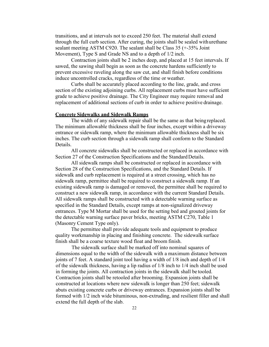transitions, and at intervals not to exceed 250 feet. The material shall extend through the full curb section. After curing, the joints shall be sealed with urethane sealant meeting ASTM C920. The sealant shall be Class 35 (+-35% Joint Movement), Type S and Grade NS and to a depth of 1/2 inch.

Contraction joints shall be 2 inches deep, and placed at 15 feet intervals. If sawed, the sawing shall begin as soon as the concrete hardens sufficiently to prevent excessive raveling along the saw cut, and shall finish before conditions induce uncontrolled cracks, regardless of the time or weather.

Curbs shall be accurately placed according to the line, grade, and cross section of the existing adjoining curbs. All replacement curbs must have sufficient grade to achieve positive drainage. The City Engineer may require removal and replacement of additional sections of curb in order to achieve positive drainage.

# **Concrete Sidewalks and Sidewalk Ramps**

The width of any sidewalk repair shall be the same as that being replaced. The minimum allowable thickness shall be four inches, except within a driveway entrance or sidewalk ramp, where the minimum allowable thickness shall be six inches. The curb section through a sidewalk ramp shall conform to the Standard Details.

All concrete sidewalks shall be constructed or replaced in accordance with Section 27 of the Construction Specifications and the Standard Details.

All sidewalk ramps shall be constructed or replaced in accordance with Section 28 of the Construction Specifications, and the Standard Details. If sidewalk and curb replacement is required at a street crossing, which has no sidewalk ramp, permittee shall be required to construct a sidewalk ramp. If an existing sidewalk ramp is damaged or removed, the permittee shall be required to construct a new sidewalk ramp, in accordance with the current Standard Details. All sidewalk ramps shall be constructed with a detectable warning surface as specified in the Standard Details, except ramps at non-signalized driveway entrances. Type M Mortar shall be used for the setting bed and grouted joints for the detectable warning surface paver bricks, meeting ASTM C270, Table 1 (Masonry Cement Type only).

The permittee shall provide adequate tools and equipment to produce quality workmanship in placing and finishing concrete. The sidewalk surface finish shall be a coarse texture wood float and broom finish.

The sidewalk surface shall be marked off into nominal squares of dimensions equal to the width of the sidewalk with a maximum distance between joints of 7 feet. A standard joint tool having a width of 1/8 inch and depth of 1/4 of the sidewalk thickness, having a lip radius of 1/8 inch to 1/4 inch shall be used in forming the joints. All contraction joints in the sidewalk shall be tooled. Contraction joints shall be retooled after brooming. Expansion joints shall be constructed at locations where new sidewalk is longer than 250 feet; sidewalk abuts existing concrete curbs or driveway entrances. Expansion joints shall be formed with 1/2 inch wide bituminous, non-extruding, and resilient filler and shall extend the full depth of the slab.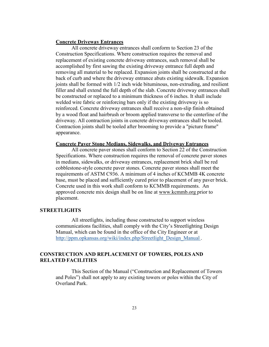# **Concrete Driveway Entrances**

All concrete driveway entrances shall conform to Section 23 of the Construction Specifications. Where construction requires the removal and replacement of existing concrete driveway entrances, such removal shall be accomplished by first sawing the existing driveway entrance full depth and removing all material to be replaced. Expansion joints shall be constructed at the back of curb and where the driveway entrance abuts existing sidewalk. Expansion joints shall be formed with 1/2 inch wide bituminous, non-extruding, and resilient filler and shall extend the full depth of the slab. Concrete driveway entrances shall be constructed or replaced to a minimum thickness of 6 inches. It shall include welded wire fabric or reinforcing bars only if the existing driveway is so reinforced. Concrete driveway entrances shall receive a non-slip finish obtained by a wood float and hairbrush or broom applied transverse to the centerline of the driveway. All contraction joints in concrete driveway entrances shall be tooled. Contraction joints shall be tooled after brooming to provide a "picture frame" appearance.

# **Concrete Paver Stone Medians, Sidewalks, and Driveway Entrances**

All concrete paver stones shall conform to Section 22 of the Construction Specifications. Where construction requires the removal of concrete paver stones in medians, sidewalks, or driveway entrances, replacement brick shall be red cobblestone-style concrete paver stones. Concrete paver stones shall meet the requirements of ASTM C936. A minimum of 4 inches of KCMMB 4K concrete base, must be placed and sufficiently cured prior to placement of any paver brick. Concrete used in this work shall conform to KCMMB requirements. An approved concrete mix design shall be on line at www.kcmmb.org prior to placement.

# **STREETLIGHTS**

All streetlights, including those constructed to support wireless communications facilities, shall comply with the City's Streetlighting Design Manual, which can be found in the office of the City Engineer or at http://ppm.opkansas.org/wiki/index.php/Streetlight\_Design\_Manual.

# **CONSTRUCTION AND REPLACEMENT OF TOWERS, POLES AND RELATED FACILITIES**

This Section of the Manual ("Construction and Replacement of Towers and Poles") shall not apply to any existing towers or poles within the City of Overland Park.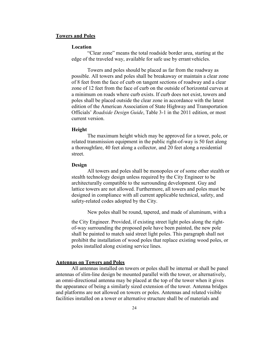#### **Towers and Poles**

#### **Location**

"Clear zone" means the total roadside border area, starting at the edge of the traveled way, available for safe use by errant vehicles.

Towers and poles should be placed as far from the roadway as possible. All towers and poles shall be breakaway or maintain a clear zone of 8 feet from the face of curb on tangent sections of roadway and a clear zone of 12 feet from the face of curb on the outside of horizontal curves at a minimum on roads where curb exists. If curb does not exist, towers and poles shall be placed outside the clear zone in accordance with the latest edition of the American Association of State Highway and Transportation Officials' *Roadside Design Guide*, Table 3-1 in the 2011 edition, or most current version.

#### **Height**

The maximum height which may be approved for a tower, pole, or related transmission equipment in the public right-of-way is 50 feet along a thoroughfare, 40 feet along a collector, and 20 feet along a residential street.

#### **Design**

All towers and poles shall be monopoles or of some other stealth or stealth technology design unless required by the City Engineer to be architecturally compatible to the surrounding development. Guy and lattice towers are not allowed. Furthermore, all towers and poles must be designed in compliance with all current applicable technical, safety, and safety-related codes adopted by the City.

New poles shall be round, tapered, and made of aluminum, with a

the City Engineer. Provided, if existing street light poles along the rightof-way surrounding the proposed pole have been painted, the new pole shall be painted to match said street light poles. This paragraph shall not prohibit the installation of wood poles that replace existing wood poles, or poles installed along existing service lines.

# **Antennas on Towers and Poles**

All antennas installed on towers or poles shall be internal or shall be panel antennas of slim-line design be mounted parallel with the tower, or alternatively, an omni-directional antenna may be placed at the top of the tower when it gives the appearance of being a similarly sized extension of the tower. Antenna bridges and platforms are not allowed on towers or poles. Antennas and related visible facilities installed on a tower or alternative structure shall be of materials and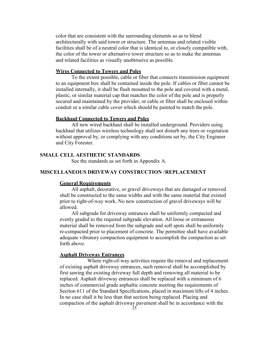color that are consistent with the surrounding elements so as to blend architecturally with said tower or structure. The antennas and related visible facilities shall be of a neutral color that is identical to, or closely compatible with, the color of the tower or alternative tower structure so as to make the antennas and related facilities as visually unobtrusive as possible.

# **Wires Connected to Towers and Poles**

To the extent possible, cable or fiber that connects transmission equipment to an equipment box shall be contained inside the pole. If cables or fiber cannot be installed internally, it shall be flush mounted to the pole and covered with a metal, plastic, or similar material cap that matches the color of the pole and is properly secured and maintained by the provider, or cable or fiber shall be enclosed within conduit or a similar cable cover which should be painted to match the pole.

# **Backhaul Connected to Towers and Poles**

All new wired backhaul shall be installed underground. Providers using backhaul that utilizes wireless technology shall not disturb any trees or vegetation without approval by, or complying with any conditions set by, the City Engineer and City Forester.

# **SMALL CELL AESTHETIC STANDARDS**

See the standards as set forth in Appendix A.

# **MISCELLANEOUS DRIVEWAY CONSTRUCTION / REPLACEMENT**

# **General Requirements**

All asphalt, decorative, or gravel driveways that are damaged or removed shall be constructed to the same widths and with the same material that existed prior to right-of-way work. No new construction of gravel driveways will be allowed.

All subgrade for driveway entrances shall be uniformly compacted and evenly graded to the required subgrade elevation. All loose or extraneous material shall be removed from the subgrade and soft spots shall be uniformly re-compacted prior to placement of concrete. The permittee shall have available adequate vibratory compaction equipment to accomplish the compaction as set forth above.

#### **Asphalt Driveway Entrances**

Where right-of-way activities require the removal and replacement of existing asphalt driveway entrances, such removal shall be accomplished by first sawing the existing driveway full depth and removing all material to be replaced. Asphalt driveway entrances shall be replaced with a minimum of 6 inches of commercial grade asphaltic concrete meeting the requirements of Section 611 of the Standard Specifications, placed in maximum lifts of 4 inches. In no case shall it be less than that section being replaced. Placing and compaction of the asphalt driveway pavement shall be in accordance with the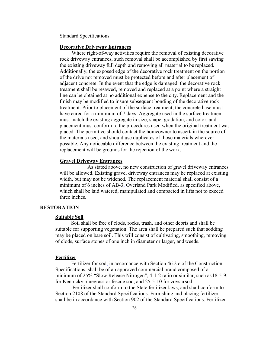Standard Specifications.

# **Decorative Driveway Entrances**

Where right-of-way activities require the removal of existing decorative rock driveway entrances, such removal shall be accomplished by first sawing the existing driveway full depth and removing all material to be replaced. Additionally, the exposed edge of the decorative rock treatment on the portion of the drive not removed must be protected before and after placement of adjacent concrete. In the event that the edge is damaged, the decorative rock treatment shall be resawed, removed and replaced at a point where a straight line can be obtained at no additional expense to the city. Replacement and the finish may be modified to insure subsequent bonding of the decorative rock treatment. Prior to placement of the surface treatment, the concrete base must have cured for a minimum of 7 days. Aggregate used in the surface treatment must match the existing aggregate in size, shape, gradation, and color, and placement must conform to the procedures used when the original treatment was placed. The permittee should contact the homeowner to ascertain the source of the materials used, and should use duplicates of those materials wherever possible. Any noticeable difference between the existing treatment and the replacement will be grounds for the rejection of the work.

#### **Gravel Driveway Entrances**

As stated above, no new construction of gravel driveway entrances will be allowed. Existing gravel driveway entrances may be replaced at existing width, but may not be widened. The replacement material shall consist of a minimum of 6 inches of AB-3, Overland Park Modified, as specified above, which shall be laid watered, manipulated and compacted in lifts not to exceed three inches.

# **RESTORATION**

#### **Suitable Soil**

Soil shall be free of clods, rocks, trash, and other debris and shall be suitable for supporting vegetation. The area shall be prepared such that sodding may be placed on bare soil. This will consist of cultivating, smoothing, removing of clods, surface stones of one inch in diameter or larger, and weeds.

#### **Fertilizer**

Fertilizer for sod, in accordance with Section 46.2.c of the Construction Specifications, shall be of an approved commercial brand composed of a minimum of 25% "Slow Release Nitrogen", 4-1-2 ratio or similar, such as 18-5-9, for Kentucky bluegrass or fescue sod, and 25-5-10 for zoysia sod.

Fertilizer shall conform to the State fertilizer laws, and shall conform to Section 2108 of the Standard Specifications. Furnishing and placing fertilizer shall be in accordance with Section 902 of the Standard Specifications. Fertilizer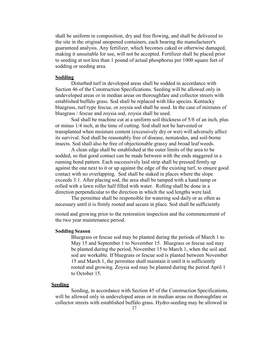shall be uniform in composition, dry and free flowing, and shall be delivered to the site in the original unopened containers, each bearing the manufacturer's guaranteed analysis. Any fertilizer, which becomes caked or otherwise damaged, making it unsuitable for use, will not be accepted. Fertilizer shall be placed prior to seeding at not less than 1 pound of actual phosphorus per 1000 square feet of sodding or seeding area.

# **Sodding**

Disturbed turf in developed areas shall be sodded in accordance with Section 46 of the Construction Specifications. Seeding will be allowed only in undeveloped areas or in median areas on thoroughfare and collector streets with established buffalo grass. Sod shall be replaced with like species. Kentucky bluegrass, turf-type fescue, or zoysia sod shall be used. In the case of mixtures of bluegrass / fescue and zoysia sod, zoysia shall be used.

Sod shall be machine cut at a uniform soil thickness of 5/8 of an inch, plus or minus 1/4 inch, at the time of cutting. Sod shall not be harvested or transplanted when moisture content (excessively dry or wet) will adversely affect its survival. Sod shall be reasonably free of disease, nematodes, and soil-borne insects. Sod shall also be free of objectionable grassy and broad leaf weeds.

A clean edge shall be established at the outer limits of the area to be sodded, so that good contact can be made between with the ends staggered in a running bond pattern. Each successively laid strip shall be pressed firmly up against the one next to it or up against the edge of the existing turf, to ensure good contact with no overlapping. Sod shall be staked in places where the slope exceeds 3:1. After placing sod, the area shall be tamped with a hand tamp or rolled with a lawn roller half filled with water. Rolling shall be done in a direction perpendicular to the direction in which the sod lengths were laid.

The permittee shall be responsible for watering sod daily or as often as necessary until it is firmly rooted and secure in place. Sod shall be sufficiently

rooted and growing prior to the restoration inspection and the commencement of the two year maintenance period.

# **Sodding Season**

Bluegrass or fescue sod may be planted during the periods of March 1 to May 15 and September 1 to November 15. Bluegrass or fescue sod may be planted during the period, November 15 to March 1, when the soil and sod are workable. If bluegrass or fescue sod is planted between November 15 and March 1, the permittee shall maintain it until it is sufficiently rooted and growing. Zoysia sod may be planted during the period April 1 to October 15.

#### **Seeding**

Seeding, in accordance with Section 45 of the Construction Specifications, will be allowed only in undeveloped areas or in median areas on thoroughfare or collector streets with established buffalo grass. Hydro-seeding may be allowed in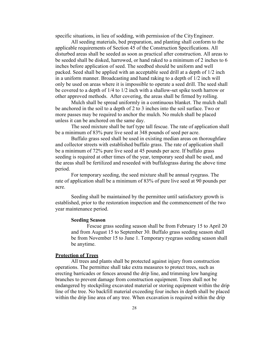specific situations, in lieu of sodding, with permission of the City Engineer.

All seeding materials, bed preparation, and planting shall conform to the applicable requirements of Section 45 of the Construction Specifications. All disturbed areas shall be seeded as soon as practical after construction. All areas to be seeded shall be disked, harrowed, or hand raked to a minimum of 2 inches to 6 inches before application of seed. The seedbed should be uniform and well packed. Seed shall be applied with an acceptable seed drill at a depth of 1/2 inch in a uniform manner. Broadcasting and hand raking to a depth of 1/2 inch will only be used on areas where it is impossible to operate a seed drill. The seed shall be covered to a depth of 1/4 to 1/2 inch with a shallow-set spike tooth harrow or other approved methods. After covering, the areas shall be firmed by rolling.

Mulch shall be spread uniformly in a continuous blanket. The mulch shall be anchored in the soil to a depth of 2 to 3 inches into the soil surface. Two or more passes may be required to anchor the mulch. No mulch shall be placed unless it can be anchored on the same day.

The seed mixture shall be turf type tall fescue. The rate of application shall be a minimum of 83% pure live seed at 348 pounds of seed per acre.

Buffalo grass seed shall be used in existing median areas on thoroughfare and collector streets with established buffalo grass. The rate of application shall be a minimum of 72% pure live seed at 45 pounds per acre. If buffalo grass seeding is required at other times of the year, temporary seed shall be used, and the areas shall be fertilized and reseeded with buffalograss during the above time period.

For temporary seeding, the seed mixture shall be annual ryegrass. The rate of application shall be a minimum of 83% of pure live seed at 90 pounds per acre.

Seeding shall be maintained by the permittee until satisfactory growth is established, prior to the restoration inspection and the commencement of the two year maintenance period.

# **Seeding Season**

Fescue grass seeding season shall be from February 15 to April 20 and from August 15 to September 30. Buffalo grass seeding season shall be from November 15 to June 1. Temporary ryegrass seeding season shall be anytime.

# **Protection of Trees**

All trees and plants shall be protected against injury from construction operations. The permittee shall take extra measures to protect trees, such as erecting barricades or fences around the drip line, and trimming low hanging branches to prevent damage from construction equipment. Trees shall not be endangered by stockpiling excavated material or storing equipment within the drip line of the tree. No backfill material exceeding four inches in depth shall be placed within the drip line area of any tree. When excavation is required within the drip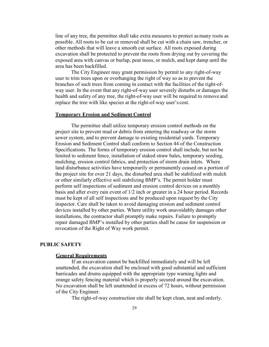line of any tree, the permittee shall take extra measures to protect as many roots as possible. All roots to be cut or removed shall be cut with a chain saw, trencher, or other methods that will leave a smooth cut surface. All roots exposed during excavation shall be protected to prevent the roots from drying out by covering the exposed area with canvas or burlap, peat moss, or mulch, and kept damp until the area has been backfilled.

The City Engineer may grant permission by permit to any right-of-way user to trim trees upon or overhanging the right of way so as to prevent the branches of such trees from coming in contact with the facilities of the right-ofway user. In the event that any right-of-way user severely disturbs or damages the health and safety of any tree, the right-of-way user will be required to remove and replace the tree with like species at the right-of-way user's cost.

#### **Temporary Erosion and Sediment Control**

The permittee shall utilize temporary erosion control methods on the project site to prevent mud or debris from entering the roadway or the storm sewer system, and to prevent damage to existing residential yards. Temporary Erosion and Sediment Control shall conform to Section 44 of the Construction Specifications. The forms of temporary erosion control shall include, but not be limited to sediment fence, installation of staked straw bales, temporary seeding, mulching, erosion control fabrics, and protection of storm drain inlets. Where land disturbance activities have temporarily or permanently ceased on a portion of the project site for over 21 days, the disturbed area shall be stabilized with mulch or other similarly effective soil stabilizing BMP's. The permit holder must perform self inspections of sediment and erosion control devices on a monthly basis and after every rain event of 1/2 inch or greater in a 24 hour period. Records must be kept of all self inspections and be produced upon request by the City inspector. Care shall be taken to avoid damaging erosion and sediment control devices installed by other parties. Where utility work unavoidably damages other installations, the contractor shall promptly make repairs. Failure to promptly repair damaged BMP's installed by other parties shall be cause for suspension or revocation of the Right of Way work permit.

#### **PUBLIC SAFETY**

# **General Requirements**

If an excavation cannot be backfilled immediately and will be left unattended, the excavation shall be enclosed with good substantial and sufficient barricades and drums equipped with the appropriate type warning lights and orange safety fencing material which is properly secured around the excavation. No excavation shall be left unattended in excess of 72 hours, without permission of the City Engineer.

The right-of-way construction site shall be kept clean, neat and orderly.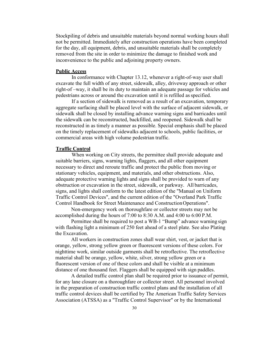Stockpiling of debris and unsuitable materials beyond normal working hours shall not be permitted. Immediately after construction operations have been completed for the day, all equipment, debris, and unsuitable materials shall be completely removed from the site in order to minimize the damage to finished work and inconvenience to the public and adjoining property owners.

# **Public Access**

In conformance with Chapter 13.12, whenever a right-of-way user shall excavate the full width of any street, sidewalk, alley, driveway approach or other right-of –way, it shall be its duty to maintain an adequate passage for vehicles and pedestrians across or around the excavation until it is refilled as specified.

If a section of sidewalk is removed as a result of an excavation, temporary aggregate surfacing shall be placed level with the surface of adjacent sidewalk, or sidewalk shall be closed by installing advance warning signs and barricades until the sidewalk can be reconstructed, backfilled, and reopened. Sidewalk shall be reconstructed in as timely a manner as possible. Special emphasis shall be placed on the timely replacement of sidewalks adjacent to schools, public facilities, or commercial areas with high volume pedestrian traffic.

#### **Traffic Control**

When working on City streets, the permittee shall provide adequate and suitable barriers, signs, warning lights, flaggers, and all other equipment necessary to direct and reroute traffic and protect the public from moving or stationary vehicles, equipment, and materials, and other obstructions. Also, adequate protective warning lights and signs shall be provided to warn of any obstruction or excavation in the street, sidewalk, or parkway. All barricades, signs, and lights shall conform to the latest edition of the "Manual on Uniform Traffic Control Devices", and the current edition of the "Overland Park Traffic Control Handbook for Street Maintenance and Construction Operations".

Non-emergency work on thoroughfare or collector streets may not be accomplished during the hours of 7:00 to 8:30 A.M. and 4:00 to 6:00 P.M.

Permittee shall be required to post a WB-1 "Bump" advance warning sign with flashing light a minimum of 250 feet ahead of a steel plate. See also Plating the Excavation.

All workers in construction zones shall wear shirt, vest, or jacket that is orange, yellow, strong yellow green or fluorescent versions of these colors. For nighttime work, similar outside garments shall be retroflective. The retroflective material shall be orange, yellow, white, silver, strong yellow green or a fluorescent version of one of these colors and shall be visible at a minimum distance of one thousand feet. Flaggers shall be equipped with sign paddles.

A detailed traffic control plan shall be required prior to issuance of permit, for any lane closure on a thoroughfare or collector street. All personnel involved in the preparation of construction traffic control plans and the installation of all traffic control devices shall be certified by The American Traffic Safety Services Association (ATSSA) as a "Traffic Control Supervisor" or by the International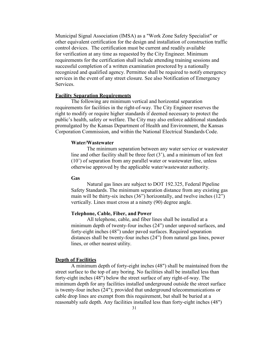Municipal Signal Association (IMSA) as a "Work Zone Safety Specialist" or other equivalent certification for the design and installation of construction traffic control devices. The certification must be current and readily available for verification at any time as requested by the City Engineer. Minimum requirements for the certification shall include attending training sessions and successful completion of a written examination proctored by a nationally recognized and qualified agency. Permittee shall be required to notify emergency services in the event of any street closure. See also Notification of Emergency Services.

# **Facility Separation Requirements**

The following are minimum vertical and horizontal separation requirements for facilities in the right-of-way. The City Engineer reserves the right to modify or require higher standards if deemed necessary to protect the public's health, safety or welfare. The City may also enforce additional standards promulgated by the Kansas Department of Health and Environment, the Kansas Corporation Commission, and within the National Electrical Standards Code.

#### **Water/Wastewater**

The minimum separation between any water service or wastewater line and other facility shall be three feet (3'), and a minimum of ten feet (10') of separation from any parallel water or wastewater line, unless otherwise approved by the applicable water/wastewater authority.

#### **Gas**

Natural gas lines are subject to DOT 192.325, Federal Pipeline Safety Standards. The minimum separation distance from any existing gas main will be thirty-six inches (36") horizontally, and twelve inches (12") vertically. Lines must cross at a ninety (90) degree angle.

# **Telephone, Cable, Fiber, and Power**

All telephone, cable, and fiber lines shall be installed at a minimum depth of twenty-four inches (24") under unpaved surfaces, and forty-eight inches (48") under paved surfaces. Required separation distances shall be twenty-four inches (24") from natural gas lines, power lines, or other nearest utility.

# **Depth of Facilities**

A minimum depth of forty-eight inches (48") shall be maintained from the street surface to the top of any boring. No facilities shall be installed less than forty-eight inches (48") below the street surface of any right-of-way. The minimum depth for any facilities installed underground outside the street surface is twenty-four inches (24"); provided that underground telecommunications or cable drop lines are exempt from this requirement, but shall be buried at a reasonably safe depth. Any facilities installed less than forty-eight inches (48")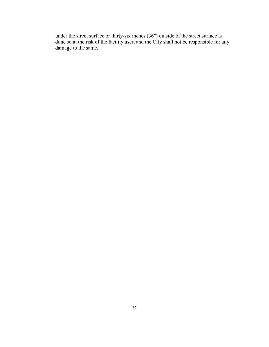under the street surface or thirty-six inches (36") outside of the street surface is done so at the risk of the facility user, and the City shall not be responsible for any damage to the same.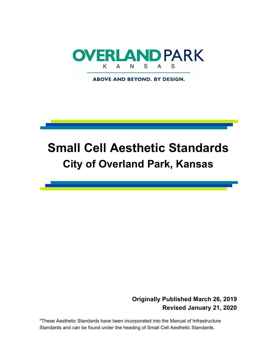

**ABOVE AND BEYOND. BY DESIGN.** 

# **Small Cell Aesthetic Standards City of Overland Park, Kansas**

# **Originally Published March 26, 2019 Revised January 21, 2020**

\*These Aesthetic Standards have been incorporated into the Manual of Infrastructure Standards and can be found under the heading of Small Cell Aesthetic Standards.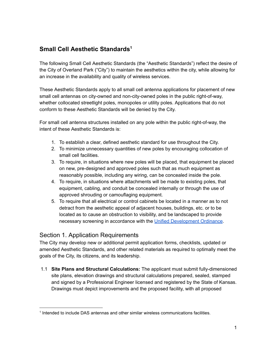# **Small Cell Aesthetic Standards 1**

The following Small Cell Aesthetic Standards (the "Aesthetic Standards") reflect the desire of the City of Overland Park ("City") to maintain the aesthetics within the city, while allowing for an increase in the availability and quality of wireless services.

These Aesthetic Standards apply to all small cell antenna applications for placement of new small cell antennas on city-owned and non-city-owned poles in the public right-of-way, whether collocated streetlight poles, monopoles or utility poles. Applications that do not conform to these Aesthetic Standards will be denied by the City.

For small cell antenna structures installed on any pole within the public right-of-way, the intent of these Aesthetic Standards is:

- 1. To establish a clear, defined aesthetic standard for use throughout the City.
- 2. To minimize unnecessary quantities of new poles by encouraging collocation of small cell facilities.
- 3. To require, in situations where new poles will be placed, that equipment be placed on new, pre-designed and approved poles such that as much equipment as reasonably possible, including any wiring, can be concealed inside the pole.
- 4. To require, in situations where attachments will be made to existing poles, that equipment, cabling, and conduit be concealed internally or through the use of approved shrouding or camouflaging equipment.
- 5. To require that all electrical or control cabinets be located in a manner as to not detract from the aesthetic appeal of adjacent houses, buildings, etc. or to be located as to cause an obstruction to visibility, and be landscaped to provide necessary screening in accordance with the Unified [Development](http://online.encodeplus.com/regs/overlandpark-ks/doc-viewer.aspx#secid-5207) Ordinance.

# Section 1. Application Requirements

The City may develop new or additional permit application forms, checklists, updated or amended Aesthetic Standards, and other related materials as required to optimally meet the goals of the City, its citizens, and its leadership.

1.1 **Site Plans and Structural Calculations:** The applicant must submit fully-dimensioned site plans, elevation drawings and structural calculations prepared, sealed, stamped and signed by a Professional Engineer licensed and registered by the State of Kansas. Drawings must depict improvements and the proposed facility, with all proposed

<sup>1</sup> Intended to include DAS antennas and other similar wireless communications facilities.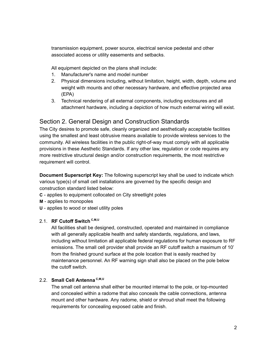transmission equipment, power source, electrical service pedestal and other associated access or utility easements and setbacks.

All equipment depicted on the plans shall include:

- 1. Manufacturer's name and model number
- 2. Physical dimensions including, without limitation, height, width, depth, volume and weight with mounts and other necessary hardware, and effective projected area (EPA)
- 3. Technical rendering of all external components, including enclosures and all attachment hardware, including a depiction of how much external wiring will exist.

# Section 2. General Design and Construction Standards

The City desires to promote safe, cleanly organized and aesthetically acceptable facilities using the smallest and least obtrusive means available to provide wireless services to the community. All wireless facilities in the public right-of-way must comply with all applicable provisions in these Aesthetic Standards. If any other law, regulation or code requires any more restrictive structural design and/or construction requirements, the most restrictive requirement will control.

**Document Superscript Key:** The following superscript key shall be used to indicate which various type(s) of small cell installations are governed by the specific design and construction standard listed below:

- **C** applies to equipment collocated on City streetlight poles
- **M** applies to monopoles
- **U** applies to wood or steel utility poles

# 2.1. **RF Cutoff Switch C,M,U**

All facilities shall be designed, constructed, operated and maintained in compliance with all generally applicable health and safety standards, regulations, and laws, including without limitation all applicable federal regulations for human exposure to RF emissions. The small cell provider shall provide an RF cutoff switch a maximum of 10' from the finished ground surface at the pole location that is easily reached by maintenance personnel. An RF warning sign shall also be placed on the pole below the cutoff switch.

# 2.2. **Small Cell Antenna C,M,U**

The small cell antenna shall either be mounted internal to the pole, or top-mounted and concealed within a radome that also conceals the cable connections, antenna mount and other hardware. Any radome, shield or shroud shall meet the following requirements for concealing exposed cable and finish.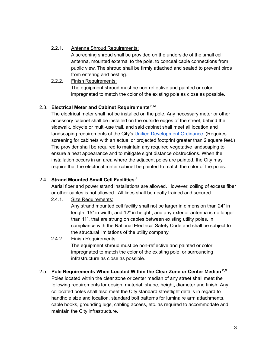2.2.1. Antenna Shroud Requirements:

A screening shroud shall be provided on the underside of the small cell antenna, mounted external to the pole, to conceal cable connections from public view. The shroud shall be firmly attached and sealed to prevent birds from entering and nesting.

2.2.2. Finish Requirements: The equipment shroud must be non-reflective and painted or color impregnated to match the color of the existing pole as close as possible.

# 2.3. **Electrical Meter and Cabinet Requirements C,M**

The electrical meter shall not be installed on the pole. Any necessary meter or other accessory cabinet shall be installed on the outside edges of the street, behind the sidewalk, bicycle or multi-use trail, and said cabinet shall meet all location and landscaping requirements of the City's Unified [Development](http://online.encodeplus.com/regs/overlandpark-ks/doc-viewer.aspx#secid-5207) Ordinance. (Requires screening for cabinets with an actual or projected footprint greater than 2 square feet.) The provider shall be required to maintain any required vegetative landscaping to ensure a neat appearance and to mitigate sight distance obstructions. When the installation occurs in an area where the adjacent poles are painted, the City may require that the electrical meter cabinet be painted to match the color of the poles.

# 2.4. **Strand Mounted Small Cell Facilities U**

Aerial fiber and power strand installations are allowed. However, coiling of excess fiber or other cables is not allowed. All lines shall be neatly trained and secured.

2.4.1. Size Requirements:

Any strand mounted cell facility shall not be larger in dimension than 24" in length, 15" in width, and 12" in height , and any exterior antenna is no longer than 11", that are strung on cables between existing utility poles, in compliance with the National Electrical Safety Code and shall be subject to the structural limitations of the utility company

# 2.4.2. Finish Requirements:

The equipment shroud must be non-reflective and painted or color impregnated to match the color of the existing pole, or surrounding infrastructure as close as possible.

2.5. **Pole Requirements When Located Within the Clear Zone or Center Median C,M** Poles located within the clear zone or center median of any street shall meet the following requirements for design, material, shape, height, diameter and finish. Any collocated poles shall also meet the City standard streetlight details in regard to handhole size and location, standard bolt patterns for luminaire arm attachments, cable hooks, grounding lugs, cabling access, etc. as required to accommodate and maintain the City infrastructure.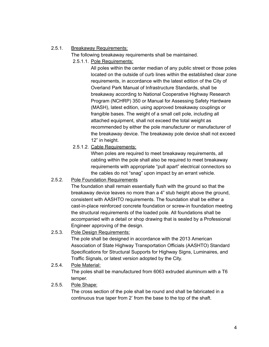# 2.5.1. Breakaway Requirements:

The following breakaway requirements shall be maintained.

2.5.1.1. Pole Requirements:

All poles within the center median of any public street or those poles located on the outside of curb lines within the established clear zone requirements, in accordance with the latest edition of the City of Overland Park Manual of Infrastructure Standards, shall be breakaway according to National Cooperative Highway Research Program (NCHRP) 350 or Manual for Assessing Safety Hardware (MASH), latest edition, using approved breakaway couplings or frangible bases. The weight of a small cell pole, including all attached equipment, shall not exceed the total weight as recommended by either the pole manufacturer or manufacturer of the breakaway device. The breakaway pole device shall not exceed 12" in height.

2.5.1.2. Cable Requirements:

When poles are required to meet breakaway requirements, all cabling within the pole shall also be required to meet breakaway requirements with appropriate "pull apart" electrical connectors so the cables do not "snag" upon impact by an errant vehicle.

# 2.5.2. Pole Foundation Requirements

The foundation shall remain essentially flush with the ground so that the breakaway device leaves no more than a 4" stub height above the ground, consistent with AASHTO requirements. The foundation shall be either a cast-in-place reinforced concrete foundation or screw-in foundation meeting the structural requirements of the loaded pole. All foundations shall be accompanied with a detail or shop drawing that is sealed by a Professional Engineer approving of the design.

# 2.5.3. Pole Design Requirements:

The pole shall be designed in accordance with the 2013 American Association of State Highway Transportation Officials (AASHTO) Standard Specifications for Structural Supports for Highway Signs, Luminaires, and Traffic Signals, or latest version adopted by the City.

2.5.4. Pole Material: The poles shall be manufactured from 6063 extruded aluminum with a T6 temper.

# 2.5.5. Pole Shape:

The cross section of the pole shall be round and shall be fabricated in a continuous true taper from 2' from the base to the top of the shaft.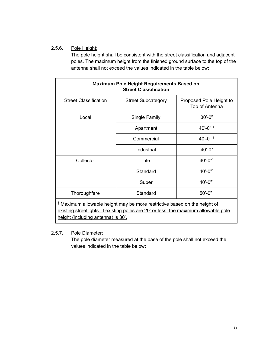# 2.5.6. Pole Height:

The pole height shall be consistent with the street classification and adjacent poles. The maximum height from the finished ground surface to the top of the antenna shall not exceed the values indicated in the table below:

| <b>Maximum Pole Height Requirements Based on</b><br><b>Street Classification</b>                                                                                                                                   |                           |                                           |
|--------------------------------------------------------------------------------------------------------------------------------------------------------------------------------------------------------------------|---------------------------|-------------------------------------------|
| <b>Street Classification</b>                                                                                                                                                                                       | <b>Street Subcategory</b> | Proposed Pole Height to<br>Top of Antenna |
| Local                                                                                                                                                                                                              | Single Family             | $30' - 0''$                               |
|                                                                                                                                                                                                                    | Apartment                 | $40' - 0''$ <sup>1</sup>                  |
|                                                                                                                                                                                                                    | Commercial                | $40' - 0''$ <sup>1</sup>                  |
|                                                                                                                                                                                                                    | Industrial                | $40' - 0"$                                |
| Collector                                                                                                                                                                                                          | Lite                      | $40' - 0''$ <sup>1</sup>                  |
|                                                                                                                                                                                                                    | Standard                  | $40' - 0''$                               |
|                                                                                                                                                                                                                    | Super                     | $40' - 0''$ <sup>1</sup>                  |
| Thoroughfare                                                                                                                                                                                                       | Standard                  | $50' - 0''$ <sup>1</sup>                  |
| <sup>1</sup> Maximum allowable height may be more restrictive based on the height of<br>existing streetlights. If existing poles are 20' or less, the maximum allowable pole<br>height (including antenna) is 30'. |                           |                                           |

# 2.5.7. Pole Diameter:

The pole diameter measured at the base of the pole shall not exceed the values indicated in the table below: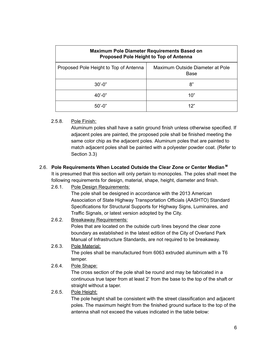| <b>Maximum Pole Diameter Requirements Based on</b><br>Proposed Pole Height to Top of Antenna |                                          |  |
|----------------------------------------------------------------------------------------------|------------------------------------------|--|
| Proposed Pole Height to Top of Antenna                                                       | Maximum Outside Diameter at Pole<br>Base |  |
| $30' - 0''$                                                                                  | 8"                                       |  |
| $40' - 0''$                                                                                  | 10"                                      |  |
| $50' - 0''$                                                                                  | 12"                                      |  |

# 2.5.8. Pole Finish:

Aluminum poles shall have a satin ground finish unless otherwise specified. If adjacent poles are painted, the proposed pole shall be finished meeting the same color chip as the adjacent poles. Aluminum poles that are painted to match adjacent poles shall be painted with a polyester powder coat. (Refer to Section 3.3)

# 2.6. **Pole Requirements When Located Outside the Clear Zone or Center Median M**

It is presumed that this section will only pertain to monopoles. The poles shall meet the following requirements for design, material, shape, height, diameter and finish.

# 2.6.1. Pole Design Requirements:

The pole shall be designed in accordance with the 2013 American Association of State Highway Transportation Officials (AASHTO) Standard Specifications for Structural Supports for Highway Signs, Luminaires, and Traffic Signals, or latest version adopted by the City.

# 2.6.2. Breakaway Requirements:

Poles that are located on the outside curb lines beyond the clear zone boundary as established in the latest edition of the City of Overland Park Manual of Infrastructure Standards, are not required to be breakaway.

# 2.6.3. Pole Material:

The poles shall be manufactured from 6063 extruded aluminum with a T6 temper.

# 2.6.4. Pole Shape:

The cross section of the pole shall be round and may be fabricated in a continuous true taper from at least 2' from the base to the top of the shaft or straight without a taper.

# 2.6.5. Pole Height:

The pole height shall be consistent with the street classification and adjacent poles. The maximum height from the finished ground surface to the top of the antenna shall not exceed the values indicated in the table below: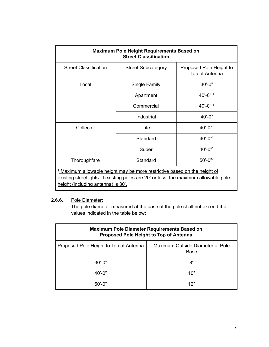| <b>Maximum Pole Height Requirements Based on</b><br><b>Street Classification</b>                                                                                                                                   |                           |                                           |
|--------------------------------------------------------------------------------------------------------------------------------------------------------------------------------------------------------------------|---------------------------|-------------------------------------------|
| <b>Street Classification</b>                                                                                                                                                                                       | <b>Street Subcategory</b> | Proposed Pole Height to<br>Top of Antenna |
| Local                                                                                                                                                                                                              | Single Family             | $30' - 0''$                               |
|                                                                                                                                                                                                                    | Apartment                 | $40' - 0''$ <sup>1</sup>                  |
|                                                                                                                                                                                                                    | Commercial                | $40' - 0''$ <sup>1</sup>                  |
|                                                                                                                                                                                                                    | Industrial                | $40' - 0''$                               |
| Collector                                                                                                                                                                                                          | Lite                      | $40' - 0''$ <sup>1</sup>                  |
|                                                                                                                                                                                                                    | Standard                  | $40' - 0''$ <sup>1</sup>                  |
|                                                                                                                                                                                                                    | Super                     | $40' - 0''$ <sup>1</sup>                  |
| Thoroughfare                                                                                                                                                                                                       | Standard                  | $50' - 0''^2$                             |
| <sup>1</sup> Maximum allowable height may be more restrictive based on the height of<br>existing streetlights. If existing poles are 20' or less, the maximum allowable pole<br>height (including antenna) is 30'. |                           |                                           |

# 2.6.6. Pole Diameter:

The pole diameter measured at the base of the pole shall not exceed the values indicated in the table below:

| <b>Maximum Pole Diameter Requirements Based on</b><br>Proposed Pole Height to Top of Antenna |                                          |  |
|----------------------------------------------------------------------------------------------|------------------------------------------|--|
| Proposed Pole Height to Top of Antenna                                                       | Maximum Outside Diameter at Pole<br>Base |  |
| $30' - 0''$                                                                                  | 8"                                       |  |
| $40' - 0''$                                                                                  | 10"                                      |  |
| 50'-0"                                                                                       | 12"                                      |  |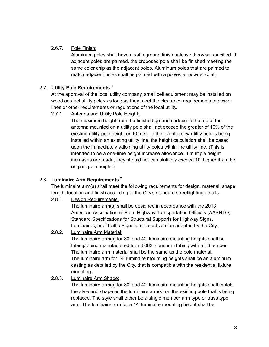# 2.6.7. Pole Finish:

Aluminum poles shall have a satin ground finish unless otherwise specified. If adjacent poles are painted, the proposed pole shall be finished meeting the same color chip as the adjacent poles. Aluminum poles that are painted to match adjacent poles shall be painted with a polyester powder coat.

# 2.7. **Utility Pole Requirements U**

At the approval of the local utility company, small cell equipment may be installed on wood or steel utility poles as long as they meet the clearance requirements to power lines or other requirements or regulations of the local utility.

# 2.7.1. Antenna and Utility Pole Height:

The maximum height from the finished ground surface to the top of the antenna mounted on a utility pole shall not exceed the greater of 10% of the existing utility pole height or 10 feet. In the event a new utility pole is being installed within an existing utility line, the height calculation shall be based upon the immediately adjoining utility poles within the utility line. (This is intended to be a one-time height increase allowance. If multiple height increases are made, they should not cumulatively exceed 10' higher than the original pole height.)

# 2.8. **Luminaire Arm Requirements C**

The luminaire arm(s) shall meet the following requirements for design, material, shape, length, location and finish according to the City's standard streetlighting details.

2.8.1. Design Requirements:

The luminaire arm(s) shall be designed in accordance with the 2013 American Association of State Highway Transportation Officials (AASHTO) Standard Specifications for Structural Supports for Highway Signs, Luminaires, and Traffic Signals, or latest version adopted by the City.

# 2.8.2. Luminaire Arm Material:

The luminaire arm(s) for 30' and 40' luminaire mounting heights shall be tubing/piping manufactured from 6063 aluminum tubing with a T6 temper. The luminaire arm material shall be the same as the pole material. The luminaire arm for 14' luminaire mounting heights shall be an aluminum casting as detailed by the City, that is compatible with the residential fixture mounting.

# 2.8.3. Luminaire Arm Shape:

The luminaire arm(s) for 30' and 40' luminaire mounting heights shall match the style and shape as the luminaire arm(s) on the existing pole that is being replaced. The style shall either be a single member arm type or truss type arm. The luminaire arm for a 14' luminaire mounting height shall be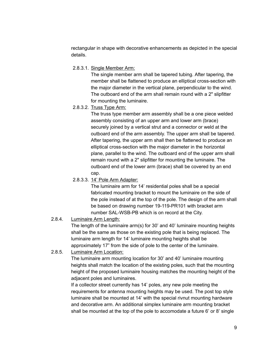rectangular in shape with decorative enhancements as depicted in the special details.

2.8.3.1. Single Member Arm:

The single member arm shall be tapered tubing. After tapering, the member shall be flattened to produce an elliptical cross-section with the major diameter in the vertical plane, perpendicular to the wind. The outboard end of the arm shall remain round with a 2" slipfitter for mounting the luminaire.

2.8.3.2. Truss Type Arm:

The truss type member arm assembly shall be a one piece welded assembly consisting of an upper arm and lower arm (brace) securely joined by a vertical strut and a connector or weld at the outboard end of the arm assembly. The upper arm shall be tapered. After tapering, the upper arm shall then be flattened to produce an elliptical cross-section with the major diameter in the horizontal plane, parallel to the wind. The outboard end of the upper arm shall remain round with a 2" slipfitter for mounting the luminaire. The outboard end of the lower arm (brace) shall be covered by an end cap.

2.8.3.3. 14' Pole Arm Adapter:

The luminaire arm for 14' residential poles shall be a special fabricated mounting bracket to mount the luminaire on the side of the pole instead of at the top of the pole. The design of the arm shall be based on drawing number 19-119-PR101 with bracket arm number SAL-WSB-PB which is on record at the City.

# 2.8.4. Luminaire Arm Length:

The length of the luminaire arm(s) for 30' and 40' luminaire mounting heights shall be the same as those on the existing pole that is being replaced. The luminaire arm length for 14' luminaire mounting heights shall be approximately 17" from the side of pole to the center of the luminaire.

# 2.8.5. Luminaire Arm Location:

The luminaire arm mounting location for 30' and 40' luminaire mounting heights shall match the location of the existing poles, such that the mounting height of the proposed luminaire housing matches the mounting height of the adjacent poles and luminaires.

If a collector street currently has 14' poles, any new pole meeting the requirements for antenna mounting heights may be used. The post top style luminaire shall be mounted at 14' with the special rivnut mounting hardware and decorative arm. An additional simplex luminaire arm mounting bracket shall be mounted at the top of the pole to accomodate a future 6' or 8' single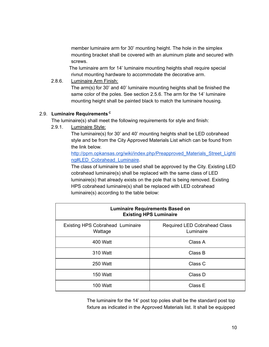member luminaire arm for 30' mounting height. The hole in the simplex mounting bracket shall be covered with an aluminum plate and secured with screws.

The luminaire arm for 14' luminaire mounting heights shall require special rivnut mounting hardware to accommodate the decorative arm.

2.8.6. Luminaire Arm Finish:

The arm(s) for 30' and 40' luminaire mounting heights shall be finished the same color of the poles. See section 2.5.6. The arm for the 14' luminaire mounting height shall be painted black to match the luminaire housing.

# 2.9. **Luminaire Requirements C**

The luminaire(s) shall meet the following requirements for style and finish:

2.9.1. Luminaire Style:

The luminaire(s) for 30' and 40' mounting heights shall be LED cobrahead style and be from the City Approved Materials List which can be found from the link below.

[http://ppm.opkansas.org/wiki/index.php/Preapproved\\_Materials\\_Street\\_Lighti](http://ppm.opkansas.org/wiki/index.php/Preapproved_Materials_Street_Lighting#LED_Cobrahead_Luminaire) [ng#LED\\_Cobrahead\\_Luminaire](http://ppm.opkansas.org/wiki/index.php/Preapproved_Materials_Street_Lighting#LED_Cobrahead_Luminaire).

The class of luminaire to be used shall be approved by the City. Existing LED cobrahead luminaire(s) shall be replaced with the same class of LED luminaire(s) that already exists on the pole that is being removed. Existing HPS cobrahead luminaire(s) shall be replaced with LED cobrahead luminaire(s) according to the table below:

| <b>Luminaire Requirements Based on</b><br><b>Existing HPS Luminaire</b> |                                                  |  |
|-------------------------------------------------------------------------|--------------------------------------------------|--|
| <b>Existing HPS Cobrahead Luminaire</b><br>Wattage                      | <b>Required LED Cobrahead Class</b><br>Luminaire |  |
| 400 Watt                                                                | Class A                                          |  |
| 310 Watt                                                                | Class B                                          |  |
| 250 Watt                                                                | Class C                                          |  |
| 150 Watt                                                                | Class D                                          |  |
| 100 Watt                                                                | Class E                                          |  |

The luminaire for the 14' post top poles shall be the standard post top fixture as indicated in the Approved Materials list. It shall be equipped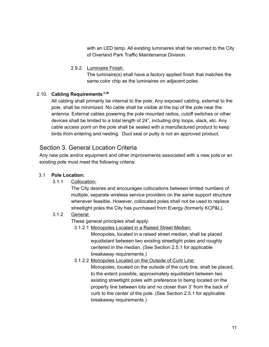with an LED lamp. All existing luminaires shall be returned to the City of Overland Park Traffic Maintenance Division.

2.9.2. Luminaire Finish:

The luminaire(s) shall have a factory applied finish that matches the same color chip as the luminaires on adjacent poles.

# 2.10. **Cabling Requirements C,M**

All cabling shall primarily be internal to the pole. Any exposed cabling, external to the pole, shall be minimized. No cable shall be visible at the top of the pole near the antenna. External cables powering the pole mounted radios, cutoff switches or other devices shall be limited to a total length of 24", including drip loops, slack, etc. Any cable access point on the pole shall be sealed with a manufactured product to keep birds from entering and nesting. Duct seal or putty is not an approved product.

# Section 3. General Location Criteria

Any new pole and/or equipment and other improvements associated with a new pole or an existing pole must meet the following criteria:

# 3.1 **Pole Location:**

3.1.1 Collocation:

The City desires and encourages collocations between limited numbers of multiple, separate wireless service providers on the same support structure whenever feasible. However, collocated poles shall not be used to replace streetlight poles the City has purchased from Evergy (formerly KCP&L).

# 3.1.2 General:

These general principles shall apply:

3.1.2.1 Monopoles Located in a Raised Street Median:

Monopoles, located in a raised street median, shall be placed equidistant between two existing streetlight poles and roughly centered in the median. (See Section 2.5.1 for applicable breakaway requirements.)

3.1.2.2 Monopoles Located on the Outside of Curb Line:

Monopoles, located on the outside of the curb line, shall be placed, to the extent possible, approximately equidistant between two existing streetlight poles with preference to being located on the property line between lots and no closer than 3' from the back of curb to the center of the pole. (See Section 2.5.1 for applicable breakaway requirements.)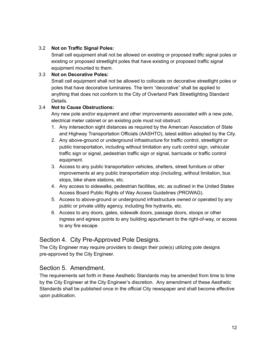# 3.2 **Not on Traffic Signal Poles:**

Small cell equipment shall not be allowed on existing or proposed traffic signal poles or existing or proposed streetlight poles that have existing or proposed traffic signal equipment mounted to them.

# 3.3 **Not on Decorative Poles:**

Small cell equipment shall not be allowed to collocate on decorative streetlight poles or poles that have decorative luminaires. The term "decorative" shall be applied to anything that does not conform to the City of Overland Park Streetlighting Standard Details.

# 3.4 **Not to Cause Obstructions:**

Any new pole and/or equipment and other improvements associated with a new pole, electrical meter cabinet or an existing pole must not obstruct:

- 1. Any intersection sight distances as required by the American Association of State and Highway Transportation Officials (AASHTO), latest edition adopted by the City.
- 2. Any above-ground or underground infrastructure for traffic control, streetlight or public transportation, including without limitation any curb control sign, vehicular traffic sign or signal, pedestrian traffic sign or signal, barricade or traffic control equipment.
- 3. Access to any public transportation vehicles, shelters, street furniture or other improvements at any public transportation stop (including, without limitation, bus stops, bike share stations, etc.
- 4. Any access to sidewalks, pedestrian facilities, etc. as outlined in the United States Access Board Public Rights of Way Access Guidelines (PROWAG).
- 5. Access to above-ground or underground infrastructure owned or operated by any public or private utility agency, including fire hydrants, etc.
- 6. Access to any doors, gates, sidewalk doors, passage doors, stoops or other ingress and egress points to any building appurtenant to the right-of-way, or access to any fire escape.

# Section 4. City Pre-Approved Pole Designs.

The City Engineer may require providers to design their pole(s) utilizing pole designs pre-approved by the City Engineer.

# Section 5. Amendment.

The requirements set forth in these Aesthetic Standards may be amended from time to time by the City Engineer at the City Engineer's discretion. Any amendment of these Aesthetic Standards shall be published once in the official City newspaper and shall become effective upon publication.